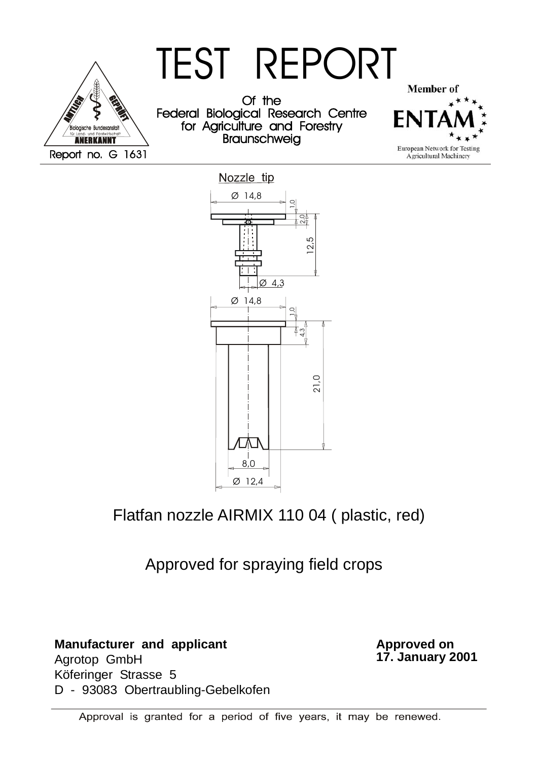



Flatfan nozzle AIRMIX 110 04 ( plastic, red)

Approved for spraying field crops

**Manufacturer and applicant**

Agrotop GmbH Köferinger Strasse 5 D - 93083 Obertraubling-Gebelkofen **Approved on 17. January 2001**